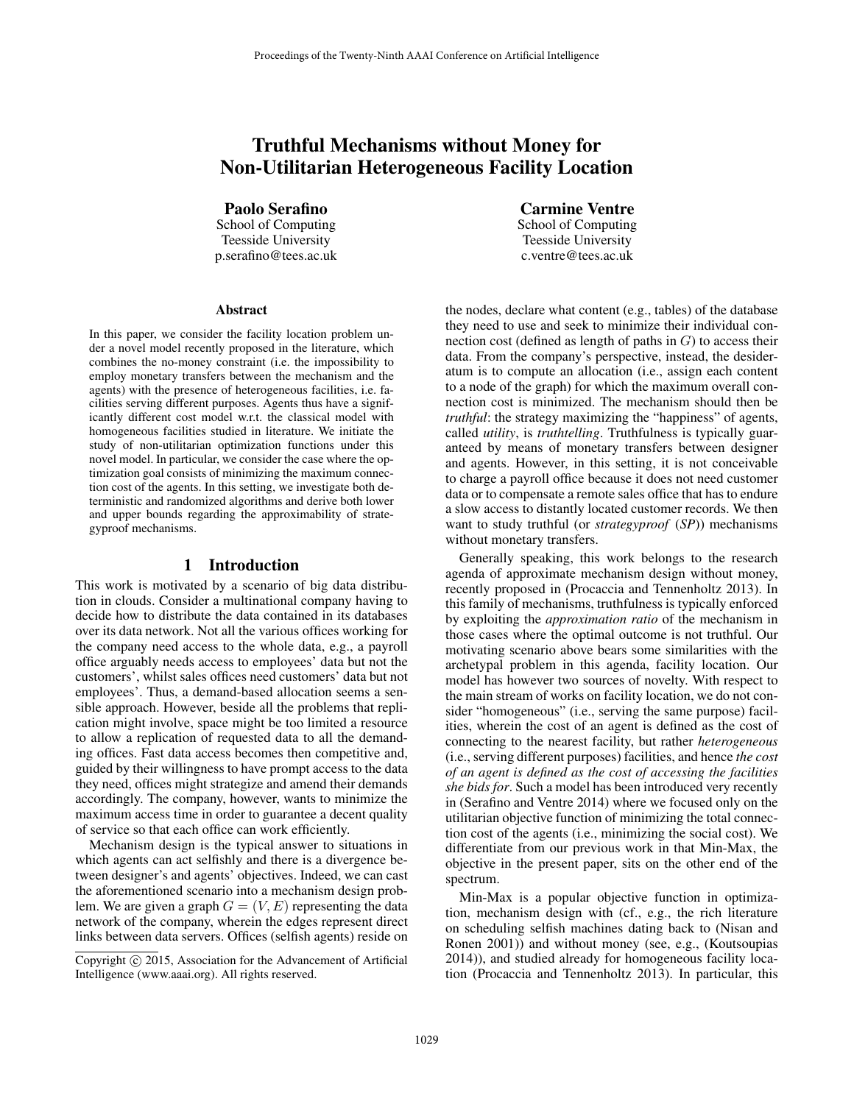# Truthful Mechanisms without Money for Non-Utilitarian Heterogeneous Facility Location

Paolo Serafino

School of Computing Teesside University p.serafino@tees.ac.uk

#### **Abstract**

In this paper, we consider the facility location problem under a novel model recently proposed in the literature, which combines the no-money constraint (i.e. the impossibility to employ monetary transfers between the mechanism and the agents) with the presence of heterogeneous facilities, i.e. facilities serving different purposes. Agents thus have a significantly different cost model w.r.t. the classical model with homogeneous facilities studied in literature. We initiate the study of non-utilitarian optimization functions under this novel model. In particular, we consider the case where the optimization goal consists of minimizing the maximum connection cost of the agents. In this setting, we investigate both deterministic and randomized algorithms and derive both lower and upper bounds regarding the approximability of strategyproof mechanisms.

#### 1 Introduction

This work is motivated by a scenario of big data distribution in clouds. Consider a multinational company having to decide how to distribute the data contained in its databases over its data network. Not all the various offices working for the company need access to the whole data, e.g., a payroll office arguably needs access to employees' data but not the customers', whilst sales offices need customers' data but not employees'. Thus, a demand-based allocation seems a sensible approach. However, beside all the problems that replication might involve, space might be too limited a resource to allow a replication of requested data to all the demanding offices. Fast data access becomes then competitive and, guided by their willingness to have prompt access to the data they need, offices might strategize and amend their demands accordingly. The company, however, wants to minimize the maximum access time in order to guarantee a decent quality of service so that each office can work efficiently.

Mechanism design is the typical answer to situations in which agents can act selfishly and there is a divergence between designer's and agents' objectives. Indeed, we can cast the aforementioned scenario into a mechanism design problem. We are given a graph  $G = (V, E)$  representing the data network of the company, wherein the edges represent direct links between data servers. Offices (selfish agents) reside on

Carmine Ventre School of Computing Teesside University c.ventre@tees.ac.uk

the nodes, declare what content (e.g., tables) of the database they need to use and seek to minimize their individual connection cost (defined as length of paths in  $G$ ) to access their data. From the company's perspective, instead, the desideratum is to compute an allocation (i.e., assign each content to a node of the graph) for which the maximum overall connection cost is minimized. The mechanism should then be *truthful*: the strategy maximizing the "happiness" of agents, called *utility*, is *truthtelling*. Truthfulness is typically guaranteed by means of monetary transfers between designer and agents. However, in this setting, it is not conceivable to charge a payroll office because it does not need customer data or to compensate a remote sales office that has to endure a slow access to distantly located customer records. We then want to study truthful (or *strategyproof* (*SP*)) mechanisms without monetary transfers.

Generally speaking, this work belongs to the research agenda of approximate mechanism design without money, recently proposed in (Procaccia and Tennenholtz 2013). In this family of mechanisms, truthfulness is typically enforced by exploiting the *approximation ratio* of the mechanism in those cases where the optimal outcome is not truthful. Our motivating scenario above bears some similarities with the archetypal problem in this agenda, facility location. Our model has however two sources of novelty. With respect to the main stream of works on facility location, we do not consider "homogeneous" (i.e., serving the same purpose) facilities, wherein the cost of an agent is defined as the cost of connecting to the nearest facility, but rather *heterogeneous* (i.e., serving different purposes) facilities, and hence *the cost of an agent is defined as the cost of accessing the facilities she bids for*. Such a model has been introduced very recently in (Serafino and Ventre 2014) where we focused only on the utilitarian objective function of minimizing the total connection cost of the agents (i.e., minimizing the social cost). We differentiate from our previous work in that Min-Max, the objective in the present paper, sits on the other end of the spectrum.

Min-Max is a popular objective function in optimization, mechanism design with (cf., e.g., the rich literature on scheduling selfish machines dating back to (Nisan and Ronen 2001)) and without money (see, e.g., (Koutsoupias 2014)), and studied already for homogeneous facility location (Procaccia and Tennenholtz 2013). In particular, this

Copyright © 2015, Association for the Advancement of Artificial Intelligence (www.aaai.org). All rights reserved.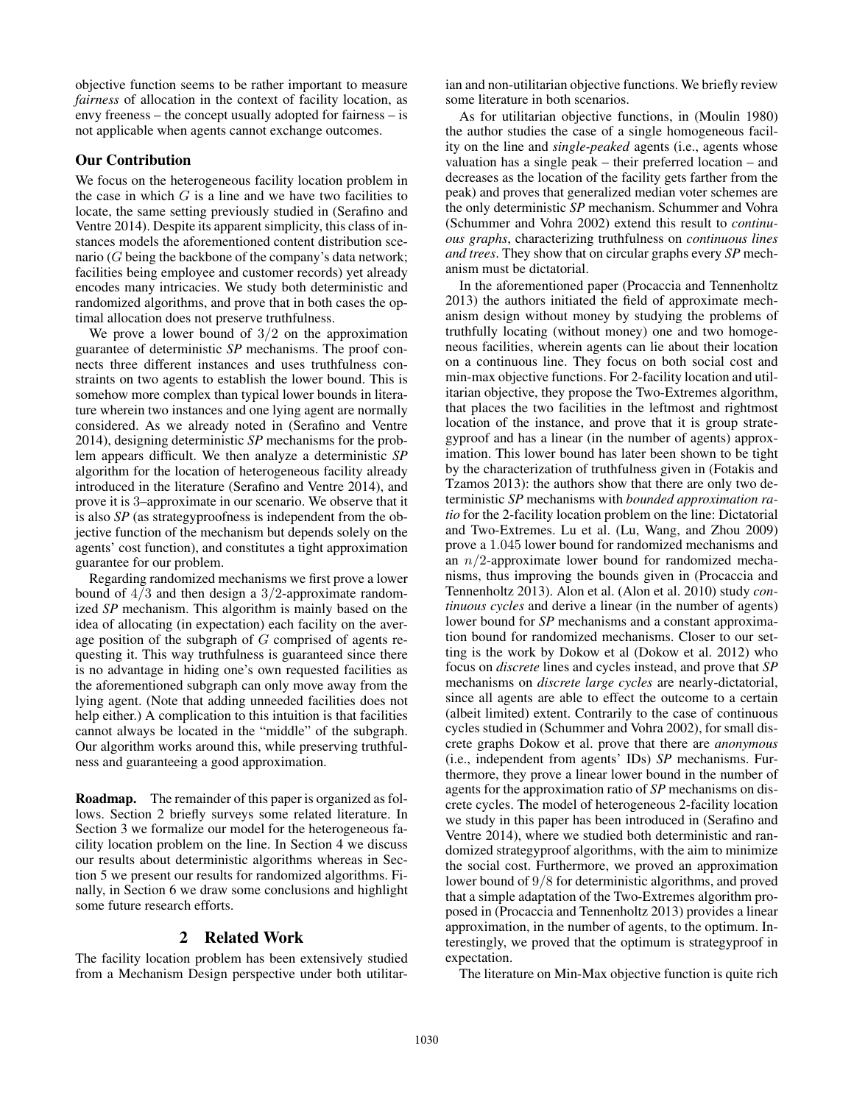objective function seems to be rather important to measure *fairness* of allocation in the context of facility location, as envy freeness – the concept usually adopted for fairness – is not applicable when agents cannot exchange outcomes.

# Our Contribution

We focus on the heterogeneous facility location problem in the case in which  $G$  is a line and we have two facilities to locate, the same setting previously studied in (Serafino and Ventre 2014). Despite its apparent simplicity, this class of instances models the aforementioned content distribution scenario (G being the backbone of the company's data network; facilities being employee and customer records) yet already encodes many intricacies. We study both deterministic and randomized algorithms, and prove that in both cases the optimal allocation does not preserve truthfulness.

We prove a lower bound of  $3/2$  on the approximation guarantee of deterministic *SP* mechanisms. The proof connects three different instances and uses truthfulness constraints on two agents to establish the lower bound. This is somehow more complex than typical lower bounds in literature wherein two instances and one lying agent are normally considered. As we already noted in (Serafino and Ventre 2014), designing deterministic *SP* mechanisms for the problem appears difficult. We then analyze a deterministic *SP* algorithm for the location of heterogeneous facility already introduced in the literature (Serafino and Ventre 2014), and prove it is 3–approximate in our scenario. We observe that it is also *SP* (as strategyproofness is independent from the objective function of the mechanism but depends solely on the agents' cost function), and constitutes a tight approximation guarantee for our problem.

Regarding randomized mechanisms we first prove a lower bound of  $4/3$  and then design a  $3/2$ -approximate randomized *SP* mechanism. This algorithm is mainly based on the idea of allocating (in expectation) each facility on the average position of the subgraph of G comprised of agents requesting it. This way truthfulness is guaranteed since there is no advantage in hiding one's own requested facilities as the aforementioned subgraph can only move away from the lying agent. (Note that adding unneeded facilities does not help either.) A complication to this intuition is that facilities cannot always be located in the "middle" of the subgraph. Our algorithm works around this, while preserving truthfulness and guaranteeing a good approximation.

Roadmap. The remainder of this paper is organized as follows. Section 2 briefly surveys some related literature. In Section 3 we formalize our model for the heterogeneous facility location problem on the line. In Section 4 we discuss our results about deterministic algorithms whereas in Section 5 we present our results for randomized algorithms. Finally, in Section 6 we draw some conclusions and highlight some future research efforts.

# 2 Related Work

The facility location problem has been extensively studied from a Mechanism Design perspective under both utilitarian and non-utilitarian objective functions. We briefly review some literature in both scenarios.

As for utilitarian objective functions, in (Moulin 1980) the author studies the case of a single homogeneous facility on the line and *single-peaked* agents (i.e., agents whose valuation has a single peak – their preferred location – and decreases as the location of the facility gets farther from the peak) and proves that generalized median voter schemes are the only deterministic *SP* mechanism. Schummer and Vohra (Schummer and Vohra 2002) extend this result to *continuous graphs*, characterizing truthfulness on *continuous lines and trees*. They show that on circular graphs every *SP* mechanism must be dictatorial.

In the aforementioned paper (Procaccia and Tennenholtz 2013) the authors initiated the field of approximate mechanism design without money by studying the problems of truthfully locating (without money) one and two homogeneous facilities, wherein agents can lie about their location on a continuous line. They focus on both social cost and min-max objective functions. For 2-facility location and utilitarian objective, they propose the Two-Extremes algorithm, that places the two facilities in the leftmost and rightmost location of the instance, and prove that it is group strategyproof and has a linear (in the number of agents) approximation. This lower bound has later been shown to be tight by the characterization of truthfulness given in (Fotakis and Tzamos 2013): the authors show that there are only two deterministic *SP* mechanisms with *bounded approximation ratio* for the 2-facility location problem on the line: Dictatorial and Two-Extremes. Lu et al. (Lu, Wang, and Zhou 2009) prove a 1.045 lower bound for randomized mechanisms and an  $n/2$ -approximate lower bound for randomized mechanisms, thus improving the bounds given in (Procaccia and Tennenholtz 2013). Alon et al. (Alon et al. 2010) study *continuous cycles* and derive a linear (in the number of agents) lower bound for *SP* mechanisms and a constant approximation bound for randomized mechanisms. Closer to our setting is the work by Dokow et al (Dokow et al. 2012) who focus on *discrete* lines and cycles instead, and prove that *SP* mechanisms on *discrete large cycles* are nearly-dictatorial, since all agents are able to effect the outcome to a certain (albeit limited) extent. Contrarily to the case of continuous cycles studied in (Schummer and Vohra 2002), for small discrete graphs Dokow et al. prove that there are *anonymous* (i.e., independent from agents' IDs) *SP* mechanisms. Furthermore, they prove a linear lower bound in the number of agents for the approximation ratio of *SP* mechanisms on discrete cycles. The model of heterogeneous 2-facility location we study in this paper has been introduced in (Serafino and Ventre 2014), where we studied both deterministic and randomized strategyproof algorithms, with the aim to minimize the social cost. Furthermore, we proved an approximation lower bound of 9/8 for deterministic algorithms, and proved that a simple adaptation of the Two-Extremes algorithm proposed in (Procaccia and Tennenholtz 2013) provides a linear approximation, in the number of agents, to the optimum. Interestingly, we proved that the optimum is strategyproof in expectation.

The literature on Min-Max objective function is quite rich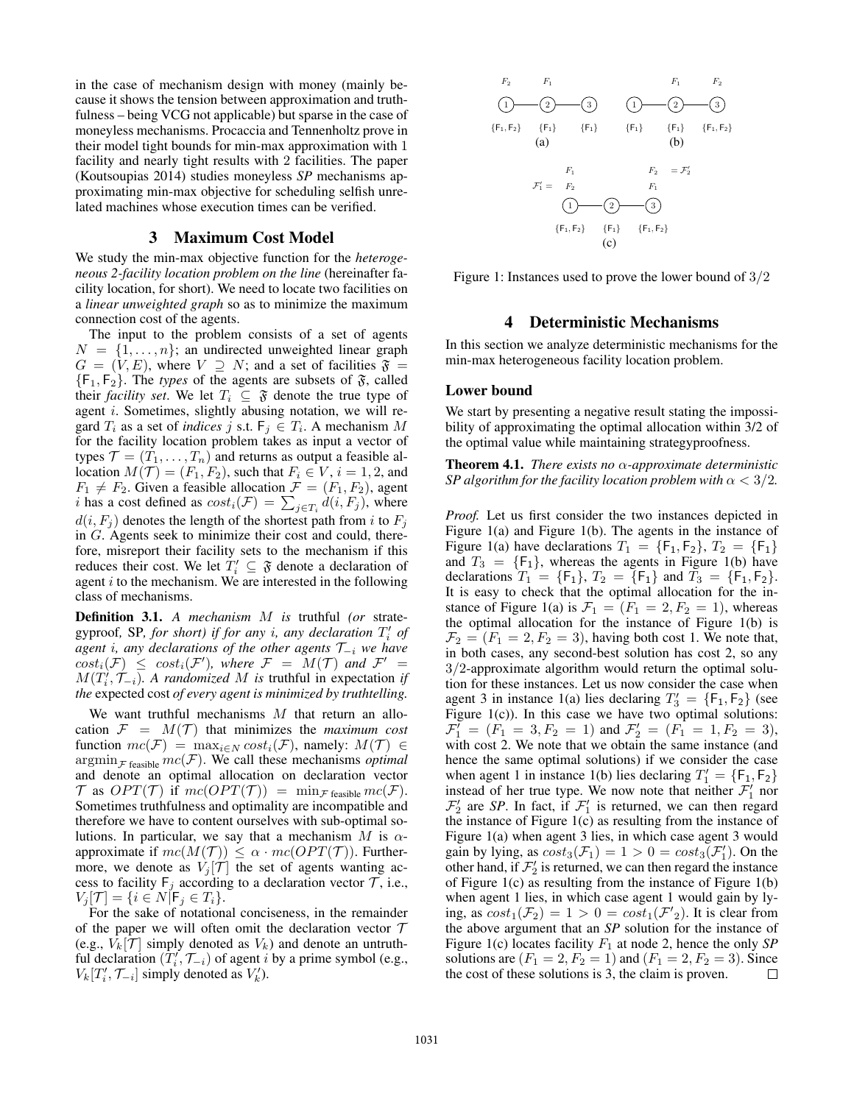in the case of mechanism design with money (mainly because it shows the tension between approximation and truthfulness – being VCG not applicable) but sparse in the case of moneyless mechanisms. Procaccia and Tennenholtz prove in their model tight bounds for min-max approximation with 1 facility and nearly tight results with 2 facilities. The paper (Koutsoupias 2014) studies moneyless *SP* mechanisms approximating min-max objective for scheduling selfish unrelated machines whose execution times can be verified.

### 3 Maximum Cost Model

We study the min-max objective function for the *heterogeneous 2-facility location problem on the line* (hereinafter facility location, for short). We need to locate two facilities on a *linear unweighted graph* so as to minimize the maximum connection cost of the agents.

The input to the problem consists of a set of agents  $N = \{1, \ldots, n\}$ ; an undirected unweighted linear graph  $G = (V, E)$ , where  $V \supseteq N$ ; and a set of facilities  $\mathfrak{F} =$  ${F_1, F_2}$ . The *types* of the agents are subsets of  $\mathfrak{F}$ , called their *facility set*. We let  $T_i \subseteq \mathfrak{F}$  denote the true type of agent i. Sometimes, slightly abusing notation, we will regard  $T_i$  as a set of *indices* j s.t.  $F_j \in T_i$ . A mechanism M for the facility location problem takes as input a vector of types  $\mathcal{T} = (T_1, \ldots, T_n)$  and returns as output a feasible allocation  $M(\mathcal{T}) = (F_1, F_2)$ , such that  $F_i \in V$ ,  $i = 1, 2$ , and  $F_1 \neq F_2$ . Given a feasible allocation  $\mathcal{F} = (F_1, F_2)$ , agent *i* has a cost defined as  $cost_i(\mathcal{F}) = \sum_{j \in T_i} d(i, F_j)$ , where  $d(i, F_j)$  denotes the length of the shortest path from i to  $F_j$ in G. Agents seek to minimize their cost and could, therefore, misreport their facility sets to the mechanism if this reduces their cost. We let  $T'_i \subseteq \mathfrak{F}$  denote a declaration of agent  $i$  to the mechanism. We are interested in the following class of mechanisms.

Definition 3.1. *A mechanism* M *is* truthful *(or* strategyproof, SP, for short) if for any *i*, any declaration  $T_i'$  of *agent* i*, any declarations of the other agents* T<sup>−</sup><sup>i</sup> *we have*  $cost_i(\mathcal{F}) \leq cost_i(\mathcal{F}')$ , where  $\mathcal{F} = M(\mathcal{T})$  and  $\mathcal{F}' =$  $M(T_i^j, \mathcal{T}_{-i})$ . A randomized M is truthful in expectation *if the* expected cost *of every agent is minimized by truthtelling.*

We want truthful mechanisms  $M$  that return an allocation  $\mathcal{F} = M(\mathcal{T})$  that minimizes the *maximum cost* function  $mc(\mathcal{F}) = \max_{i \in \mathbb{N}} cost_i(\mathcal{F})$ , namely:  $M(\mathcal{T}) \in$  $\operatorname{argmin}_{\mathcal{F}}$  feasible  $mc(\mathcal{F})$ . We call these mechanisms *optimal* and denote an optimal allocation on declaration vector  $\mathcal T$  as  $OPT(\mathcal T)$  if  $mc(OPT(\mathcal T)) = \min_{\mathcal F \text{ feasible}} mc(\mathcal F)$ . Sometimes truthfulness and optimality are incompatible and therefore we have to content ourselves with sub-optimal solutions. In particular, we say that a mechanism M is  $\alpha$ approximate if  $mc(M(\mathcal{T})) \leq \alpha \cdot mc(OPT(\mathcal{T}))$ . Furthermore, we denote as  $V_j[\mathcal{T}]$  the set of agents wanting access to facility  $F_j$  according to a declaration vector  $\mathcal{T}$ , i.e.,  $V_j[\mathcal{T}] = \{i \in N | \mathsf{F}_j \in T_i\}.$ 

For the sake of notational conciseness, in the remainder of the paper we will often omit the declaration vector  $\mathcal T$ (e.g.,  $V_k[\mathcal{T}]$  simply denoted as  $V_k$ ) and denote an untruthful declaration  $(\tilde{T}'_i, \mathcal{T}_{-i})$  of agent i by a prime symbol (e.g.,  $V_k[T'_i, \mathcal{T}_{-i}]$  simply denoted as  $V'_k$ ).



Figure 1: Instances used to prove the lower bound of 3/2

### 4 Deterministic Mechanisms

In this section we analyze deterministic mechanisms for the min-max heterogeneous facility location problem.

### Lower bound

We start by presenting a negative result stating the impossibility of approximating the optimal allocation within 3/2 of the optimal value while maintaining strategyproofness.

Theorem 4.1. *There exists no* α*-approximate deterministic SP algorithm for the facility location problem with*  $\alpha < 3/2$ *.* 

*Proof.* Let us first consider the two instances depicted in Figure 1(a) and Figure 1(b). The agents in the instance of Figure 1(a) have declarations  $T_1 = \{F_1, F_2\}, T_2 = \{F_1\}$ and  $T_3 = \{F_1\}$ , whereas the agents in Figure 1(b) have declarations  $T_1 = \{F_1\}$ ,  $T_2 = \{F_1\}$  and  $T_3 = \{F_1, F_2\}$ . It is easy to check that the optimal allocation for the instance of Figure 1(a) is  $\mathcal{F}_1 = (F_1 = 2, F_2 = 1)$ , whereas the optimal allocation for the instance of Figure 1(b) is  $\mathcal{F}_2 = (F_1 = 2, F_2 = 3)$ , having both cost 1. We note that, in both cases, any second-best solution has cost 2, so any 3/2-approximate algorithm would return the optimal solution for these instances. Let us now consider the case when agent 3 in instance 1(a) lies declaring  $T_3' = \{F_1, F_2\}$  (see Figure  $1(c)$ ). In this case we have two optimal solutions:  $\mathcal{F}_1' = (F_1 = 3, F_2 = 1)$  and  $\mathcal{F}_2' = (F_1 = 1, F_2 = 3)$ , with cost 2. We note that we obtain the same instance (and hence the same optimal solutions) if we consider the case when agent 1 in instance 1(b) lies declaring  $T_1' = \{F_1, F_2\}$ instead of her true type. We now note that neither  $\mathcal{F}'_1$  nor  $\mathcal{F}'_2$  are *SP*. In fact, if  $\mathcal{F}'_1$  is returned, we can then regard the instance of Figure 1(c) as resulting from the instance of Figure 1(a) when agent 3 lies, in which case agent 3 would gain by lying, as  $cost_3(\mathcal{F}_1) = 1 > 0 = cost_3(\mathcal{F}'_1)$ . On the other hand, if  $\mathcal{F}_2'$  is returned, we can then regard the instance of Figure 1(c) as resulting from the instance of Figure 1(b) when agent 1 lies, in which case agent 1 would gain by lying, as  $cost_1(\mathcal{F}_2) = 1 > 0 = cost_1(\mathcal{F'}_2)$ . It is clear from the above argument that an *SP* solution for the instance of Figure 1(c) locates facility  $F_1$  at node 2, hence the only *SP* solutions are  $(F_1 = 2, F_2 = 1)$  and  $(F_1 = 2, F_2 = 3)$ . Since the cost of these solutions is 3, the claim is proven. □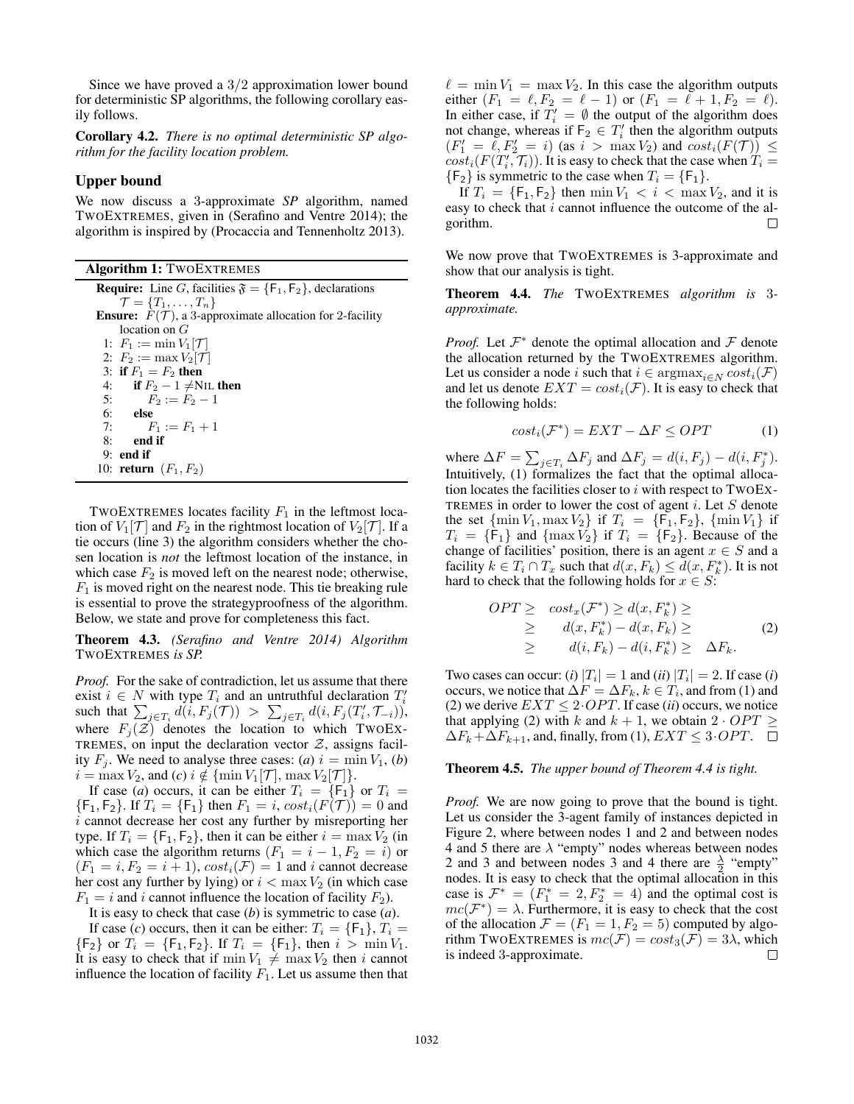Since we have proved a 3/2 approximation lower bound for deterministic SP algorithms, the following corollary easily follows.

Corollary 4.2. *There is no optimal deterministic SP algorithm for the facility location problem.*

# Upper bound

We now discuss a 3-approximate *SP* algorithm, named TWOEXTREMES, given in (Serafino and Ventre 2014); the algorithm is inspired by (Procaccia and Tennenholtz 2013).

| <b>Algorithm 1: TWOEXTREMES</b>                                                 |
|---------------------------------------------------------------------------------|
| <b>Require:</b> Line G, facilities $\mathfrak{F} = \{F_1, F_2\}$ , declarations |
| $\mathcal{T} = \{T_1, \ldots, T_n\}$                                            |
| <b>Ensure:</b> $F(\mathcal{T})$ , a 3-approximate allocation for 2-facility     |
| location on $G$                                                                 |
| 1: $F_1 := \min V_1  {\mathcal{T}} $                                            |
| 2: $F_2 := \max V_2[\mathcal{T}]$                                               |
| 3: if $F_1 = F_2$ then                                                          |
| 4: if $F_2 - 1 \neq NIL$ then                                                   |
| 5: $F_2 := F_2 - 1$                                                             |
| $6:$ else                                                                       |
| 7: $F_1 := F_1 + 1$                                                             |
| end if<br>8:                                                                    |
| $9:$ end if                                                                     |
| 10: <b>return</b> $(F_1, F_2)$                                                  |

TWOEXTREMES locates facility  $F_1$  in the leftmost location of  $V_1[\mathcal{T}]$  and  $F_2$  in the rightmost location of  $V_2[\mathcal{T}]$ . If a tie occurs (line 3) the algorithm considers whether the chosen location is *not* the leftmost location of the instance, in which case  $F_2$  is moved left on the nearest node; otherwise,  $F_1$  is moved right on the nearest node. This tie breaking rule is essential to prove the strategyproofness of the algorithm. Below, we state and prove for completeness this fact.

Theorem 4.3. *(Serafino and Ventre 2014) Algorithm* TWOEXTREMES *is SP.*

*Proof.* For the sake of contradiction, let us assume that there exist  $i \in N$  with type  $T_i$  and an untruthful declaration  $T_i'$ such that  $\sum_{j \in T_i} d(i, F_j(\mathcal{T})) > \sum_{j \in T_i} d(i, F_j(T'_i, \mathcal{T}_{-i}))$ , where  $F_i(\mathcal{Z})$  denotes the location to which TWOEX-TREMES, on input the declaration vector  $Z$ , assigns facility  $F_i$ . We need to analyse three cases: (*a*)  $i = \min V_1$ , (*b*)  $i = \max V_2$ , and  $(c)$   $i \notin {\min V_1[\mathcal{T}], \max V_2[\mathcal{T}]}$ .

If case (*a*) occurs, it can be either  $T_i = \{F_1\}$  or  $T_i =$  ${F_1, F_2}$ . If  $T_i = {F_1}$  then  $F_1 = i$ ,  $cost_i(F(T)) = 0$  and i cannot decrease her cost any further by misreporting her type. If  $T_i = \{F_1, F_2\}$ , then it can be either  $i = \max V_2$  (in which case the algorithm returns  $(F_1 = i - 1, F_2 = i)$  or  $(F_1 = i, F_2 = i + 1), cost_i(\mathcal{F}) = 1$  and i cannot decrease her cost any further by lying) or  $i < \max V_2$  (in which case  $F_1 = i$  and i cannot influence the location of facility  $F_2$ ).

It is easy to check that case (*b*) is symmetric to case (*a*).

If case (*c*) occurs, then it can be either:  $T_i = \{F_1\}, T_i =$  ${F_2}$  or  $T_i = {F_1, F_2}$ . If  $T_i = {F_1}$ , then  $i > \min V_1$ . It is easy to check that if  $\min V_1 \neq \max V_2$  then i cannot influence the location of facility  $F_1$ . Let us assume then that

 $\ell = \min V_1 = \max V_2$ . In this case the algorithm outputs either  $(F_1 = \ell, F_2 = \ell - 1)$  or  $(F_1 = \ell + 1, F_2 = \ell)$ . In either case, if  $T_i' = \emptyset$  the output of the algorithm does not change, whereas if  $F_2 \in T'_i$  then the algorithm outputs  $(F'_1 = \ell, F'_2 = i)$  (as  $i > \max V_2$ ) and  $cost_i(F(\mathcal{T})) \leq$  $cost_i(F(T'_i, \mathcal{T}_i))$ . It is easy to check that the case when  $T_i =$  ${F_2}$  is symmetric to the case when  $T_i = {F_1}.$ 

If  $T_i = \{F_1, F_2\}$  then  $\min V_1 < i < \max V_2$ , and it is easy to check that  $i$  cannot influence the outcome of the algorithm. П

We now prove that TWOEXTREMES is 3-approximate and show that our analysis is tight.

Theorem 4.4. *The* TWOEXTREMES *algorithm is* 3 *approximate.*

*Proof.* Let  $\mathcal{F}^*$  denote the optimal allocation and  $\mathcal F$  denote the allocation returned by the TWOEXTREMES algorithm. Let us consider a node i such that  $i \in \text{argmax}_{i \in N} cost_i(\mathcal{F})$ and let us denote  $EXT = cost_i(\mathcal{F})$ . It is easy to check that the following holds:

$$
cost_i(\mathcal{F}^*) = EXT - \Delta F \le OPT \tag{1}
$$

where  $\Delta F = \sum_{j \in T_i} \Delta F_j$  and  $\Delta F_j = d(i, F_j) - d(i, F_j^*)$ . Intuitively, (1) formalizes the fact that the optimal allocation locates the facilities closer to  $i$  with respect to TWOEX-TREMES in order to lower the cost of agent  $i$ . Let  $S$  denote the set  $\{\min V_1, \max V_2\}$  if  $T_i = \{F_1, F_2\}$ ,  $\{\min V_1\}$  if  $T_i = \{F_1\}$  and  $\{\max V_2\}$  if  $T_i = \{F_2\}$ . Because of the change of facilities' position, there is an agent  $x \in S$  and a facility  $k \in T_i \cap T_x$  such that  $d(x, F_k) \leq d(x, F_k^*)$ . It is not hard to check that the following holds for  $x \in S$ :

$$
OPT \geq \cos t_x(\mathcal{F}^*) \geq d(x, F_k^*) \geq
$$
  
\n
$$
\geq d(x, F_k^*) - d(x, F_k) \geq
$$
  
\n
$$
\geq d(i, F_k) - d(i, F_k^*) \geq \Delta F_k.
$$
 (2)

Two cases can occur: (*i*)  $|T_i| = 1$  and (*ii*)  $|T_i| = 2$ . If case (*i*) occurs, we notice that  $\Delta F = \Delta F_k, k \in T_i$ , and from (1) and (2) we derive  $EXT \leq 2\cdot OPT$ . If case *(ii)* occurs, we notice that applying (2) with k and  $k + 1$ , we obtain  $2 \cdot OPT \ge$  $\Delta F_k + \Delta F_{k+1}$ , and, finally, from (1),  $EXT \leq 3 \cdot OPT$ .  $\Box$ 

Theorem 4.5. *The upper bound of Theorem 4.4 is tight.*

*Proof.* We are now going to prove that the bound is tight. Let us consider the 3-agent family of instances depicted in Figure 2, where between nodes 1 and 2 and between nodes 4 and 5 there are  $\lambda$  "empty" nodes whereas between nodes 2 and 3 and between nodes 3 and 4 there are  $\frac{\lambda}{2}$  "empty" nodes. It is easy to check that the optimal allocation in this case is  $\mathcal{F}^* = (F_1^* = 2, F_2^* = 4)$  and the optimal cost is  $mc(\mathcal{F}^*) = \lambda$ . Furthermore, it is easy to check that the cost of the allocation  $\mathcal{F} = (F_1 = 1, F_2 = 5)$  computed by algorithm TWOEXTREMES is  $mc(\mathcal{F}) = cost_3(\mathcal{F}) = 3\lambda$ , which is indeed 3-approximate. П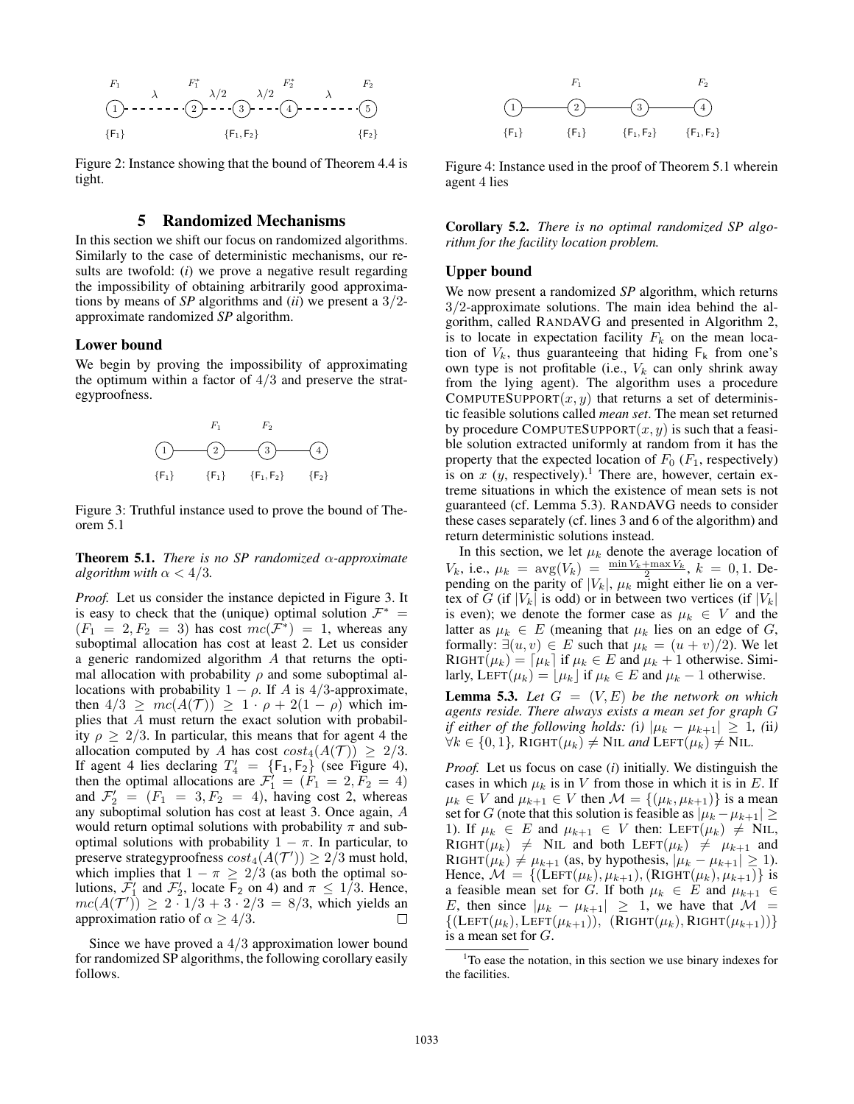$$
F_1 \qquad \lambda \qquad F_1^* \qquad \lambda/2 \qquad \lambda/2 \qquad \lambda
$$
\n
$$
(1) \qquad \cdots \qquad (2) \qquad \cdots \qquad (3) \qquad \cdots \qquad (4) \qquad \cdots \qquad \cdots \qquad (5)
$$
\n
$$
\{F_1\} \qquad \{F_1, F_2\} \qquad \{F_2\}
$$

Figure 2: Instance showing that the bound of Theorem 4.4 is tight.

# 5 Randomized Mechanisms

In this section we shift our focus on randomized algorithms. Similarly to the case of deterministic mechanisms, our results are twofold: (*i*) we prove a negative result regarding the impossibility of obtaining arbitrarily good approximations by means of *SP* algorithms and (*ii*) we present a 3/2 approximate randomized *SP* algorithm.

#### Lower bound

We begin by proving the impossibility of approximating the optimum within a factor of  $4/3$  and preserve the strategyproofness.



Figure 3: Truthful instance used to prove the bound of Theorem 5.1

Theorem 5.1. *There is no SP randomized* α*-approximate algorithm with*  $\alpha < 4/3$ *.* 

*Proof.* Let us consider the instance depicted in Figure 3. It is easy to check that the (unique) optimal solution  $\mathcal{F}^*$  =  $(F_1 = 2, F_2 = 3)$  has cost  $mc(\bar{F}^*) = 1$ , whereas any suboptimal allocation has cost at least 2. Let us consider a generic randomized algorithm A that returns the optimal allocation with probability  $\rho$  and some suboptimal allocations with probability  $1 - \rho$ . If A is 4/3-approximate, then  $4/3 \geq mc(A(\mathcal{T})) \geq 1 \cdot \rho + 2(1 - \rho)$  which implies that A must return the exact solution with probability  $\rho > 2/3$ . In particular, this means that for agent 4 the allocation computed by A has cost  $cost_4(A(\mathcal{T})) \geq 2/3$ . If agent 4 lies declaring  $T_4' = \{F_1, F_2\}$  (see Figure 4), then the optimal allocations are  $\mathcal{F}_1' = (\mathcal{F}_1 = 2, \mathcal{F}_2 = 4)$ and  $\mathcal{F}'_2 = (F_1 = 3, F_2 = 4)$ , having cost 2, whereas any suboptimal solution has cost at least 3. Once again, A would return optimal solutions with probability  $\pi$  and suboptimal solutions with probability  $1 - \pi$ . In particular, to preserve strategyproofness  $cost_4(A(\mathcal{T}')) \geq 2/3$  must hold, which implies that  $1 - \pi \geq 2/3$  (as both the optimal solutions,  $\mathcal{F}'_1$  and  $\mathcal{F}'_2$ , locate  $\mathsf{F}_2$  on 4) and  $\pi \leq 1/3$ . Hence,  $mc(A(T')) \ge 2 \cdot 1/3 + 3 \cdot 2/3 = 8/3$ , which yields an approximation ratio of  $\alpha \geq 4/3$ . П

Since we have proved a 4/3 approximation lower bound for randomized SP algorithms, the following corollary easily follows.



Figure 4: Instance used in the proof of Theorem 5.1 wherein agent 4 lies

Corollary 5.2. *There is no optimal randomized SP algorithm for the facility location problem.*

#### Upper bound

We now present a randomized *SP* algorithm, which returns 3/2-approximate solutions. The main idea behind the algorithm, called RANDAVG and presented in Algorithm 2, is to locate in expectation facility  $F_k$  on the mean location of  $V_k$ , thus guaranteeing that hiding  $F_k$  from one's own type is not profitable (i.e.,  $V_k$  can only shrink away from the lying agent). The algorithm uses a procedure COMPUTESUPPORT $(x, y)$  that returns a set of deterministic feasible solutions called *mean set*. The mean set returned by procedure COMPUTESUPPORT $(x, y)$  is such that a feasible solution extracted uniformly at random from it has the property that the expected location of  $F_0$  ( $F_1$ , respectively) is on  $x$  (y, respectively).<sup>1</sup> There are, however, certain extreme situations in which the existence of mean sets is not guaranteed (cf. Lemma 5.3). RANDAVG needs to consider these cases separately (cf. lines 3 and 6 of the algorithm) and return deterministic solutions instead.

In this section, we let  $\mu_k$  denote the average location of  $V_k$ , i.e.,  $\mu_k = \arg(V_k) = \frac{\min V_k + \max V_k}{2}, k = 0, 1$ . Depending on the parity of  $|V_k|$ ,  $\mu_k$  might either lie on a vertex of G (if  $|V_k|$  is odd) or in between two vertices (if  $|V_k|$ is even); we denote the former case as  $\mu_k \in V$  and the latter as  $\mu_k \in E$  (meaning that  $\mu_k$  lies on an edge of G, formally:  $\exists (u, v) \in E$  such that  $\mu_k = (u + v)/2$ ). We let RIGHT $(\mu_k)$  =  $\lceil \mu_k \rceil$  if  $\mu_k \in E$  and  $\mu_k + 1$  otherwise. Similarly, LEFT( $\mu_k$ ) =  $|\mu_k|$  if  $\mu_k \in E$  and  $\mu_k - 1$  otherwise.

**Lemma 5.3.** Let  $G = (V, E)$  be the network on which *agents reside. There always exists a mean set for graph* G *if either of the following holds: (i)*  $|\mu_k - \mu_{k+1}| \geq 1$ , (ii)  $\forall k \in \{0, 1\}$ , RIGHT $(\mu_k) \neq \text{NIL}$  *and* LEFT $(\mu_k) \neq \text{NIL}$ .

*Proof.* Let us focus on case (*i*) initially. We distinguish the cases in which  $\mu_k$  is in V from those in which it is in E. If  $\mu_k \in V$  and  $\mu_{k+1} \in V$  then  $\mathcal{M} = \{(\mu_k, \mu_{k+1})\}$  is a mean set for G (note that this solution is feasible as  $|\mu_k - \mu_{k+1}| \ge$ 1). If  $\mu_k \in E$  and  $\mu_{k+1} \in V$  then: LEFT $(\mu_k) \neq \text{NIL}$ , RIGHT( $\mu_k$ )  $\neq$  NIL and both LEFT( $\mu_k$ )  $\neq$   $\mu_{k+1}$  and RIGHT( $\mu_k$ )  $\neq \mu_{k+1}$  (as, by hypothesis,  $|\mu_k - \mu_{k+1}| \geq 1$ ). Hence,  $M = \{(\text{LEFT}(\mu_k), \mu_{k+1}), (\text{RIGHT}(\mu_k), \mu_{k+1})\}$  is a feasible mean set for G. If both  $\mu_k \in E$  and  $\mu_{k+1} \in$ E, then since  $|\mu_k - \mu_{k+1}| \geq 1$ , we have that  $\mathcal{M} =$  $\{(\text{LEFT}(\mu_k), \text{LEFT}(\mu_{k+1})), (\text{RIGHT}(\mu_k), \text{RIGHT}(\mu_{k+1}))\}$ is a mean set for G.

<sup>&</sup>lt;sup>1</sup>To ease the notation, in this section we use binary indexes for the facilities.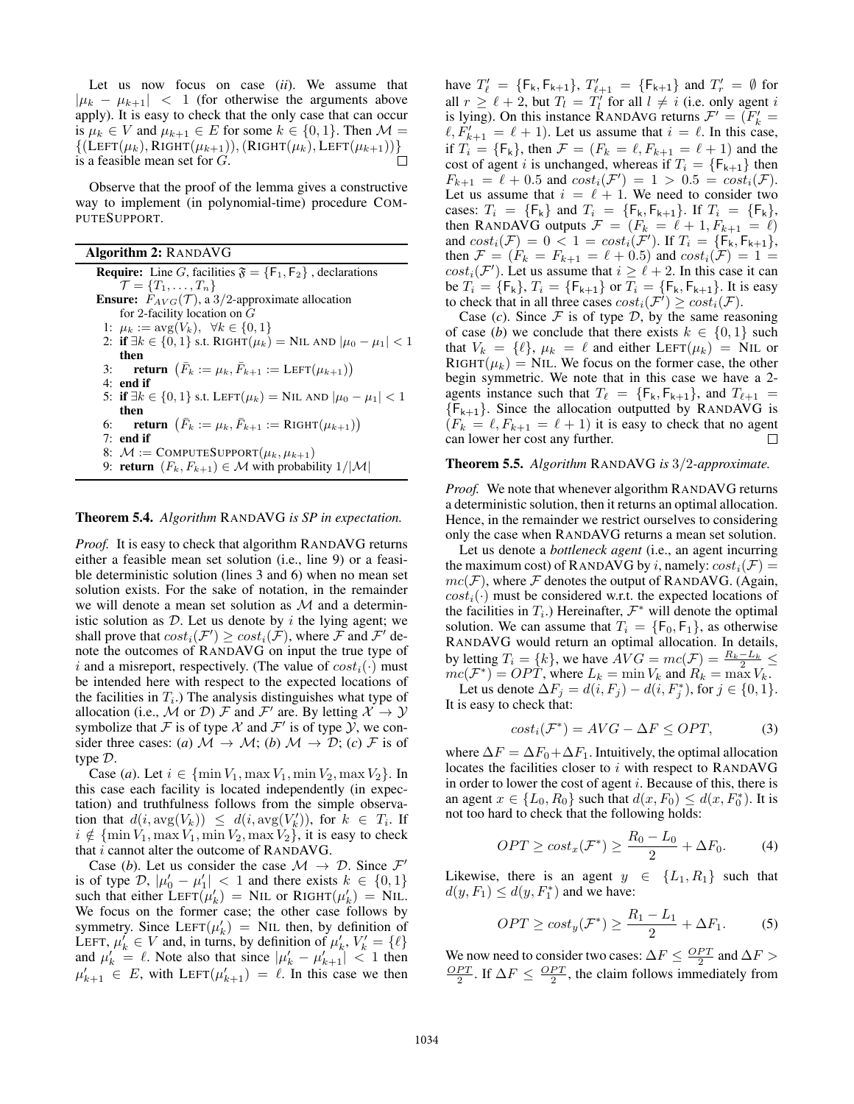Let us now focus on case (*ii*). We assume that  $|\mu_k - \mu_{k+1}|$  < 1 (for otherwise the arguments above apply). It is easy to check that the only case that can occur is  $\mu_k \in V$  and  $\mu_{k+1} \in E$  for some  $k \in \{0, 1\}$ . Then  $\mathcal{M} =$  $\{(\text{LEFT}(\mu_k), \text{RIGHT}(\mu_{k+1})), (\text{RIGHT}(\mu_k), \text{LEFT}(\mu_{k+1}))\}$ is a feasible mean set for G.

Observe that the proof of the lemma gives a constructive way to implement (in polynomial-time) procedure COM-PUTESUPPORT.

Algorithm 2: RANDAVG

**Require:** Line G, facilities  $\mathfrak{F} = \{F_1, F_2\}$ , declarations  $\mathcal{T} = \{T_1, \ldots, T_n\}$ **Ensure:**  $F_{AVG}(\mathcal{T})$ , a 3/2-approximate allocation for 2-facility location on  $\overrightarrow{G}$ 1:  $\mu_k := \arg(V_k), \ \forall k \in \{0, 1\}$ 2: if  $\exists k \in \{0, 1\}$  s.t. RIGHT $(\mu_k) =$  NIL AND  $|\mu_0 - \mu_1| < 1$ then 3: **return**  $(\bar{F}_k := \mu_k, \bar{F}_{k+1} := \text{LEFT}(\mu_{k+1}))$ 4: end if 5: **if** ∃ $k \in \{0, 1\}$  s.t. LEFT $(\mu_k) =$  NIL AND  $|\mu_0 - \mu_1| < 1$ then 6: **return**  $(\bar{F}_k := \mu_k, \bar{F}_{k+1} := \text{RIGHT}(\mu_{k+1}))$ 7: end if 8:  $M := \text{COMPUTESUPPORT}(\mu_k, \mu_{k+1})$ 

# 9: **return**  $(F_k, F_{k+1}) \in M$  with probability  $1/|\mathcal{M}|$

#### Theorem 5.4. *Algorithm* RANDAVG *is SP in expectation.*

*Proof.* It is easy to check that algorithm RANDAVG returns either a feasible mean set solution (i.e., line 9) or a feasible deterministic solution (lines 3 and 6) when no mean set solution exists. For the sake of notation, in the remainder we will denote a mean set solution as  $M$  and a deterministic solution as  $D$ . Let us denote by i the lying agent; we shall prove that  $cost_i(\mathcal{F}') \geq cost_i(\mathcal{F})$ , where  $\mathcal{F}$  and  $\mathcal{F}'$  denote the outcomes of RANDAVG on input the true type of i and a misreport, respectively. (The value of  $cost_i(\cdot)$  must be intended here with respect to the expected locations of the facilities in  $T_i$ .) The analysis distinguishes what type of allocation (i.e., M or D) F and F' are. By letting  $\mathcal{X} \to \mathcal{Y}$ symbolize that F is of type X and F' is of type  $\mathcal{Y}$ , we consider three cases: (*a*)  $M \rightarrow M$ ; (*b*)  $M \rightarrow \mathcal{D}$ ; (*c*)  $\mathcal{F}$  is of type D.

Case (*a*). Let  $i \in \{\min V_1, \max V_1, \min V_2, \max V_2\}$ . In this case each facility is located independently (in expectation) and truthfulness follows from the simple observation that  $d(i, \text{avg}(V_k)) \leq d(i, \text{avg}(V'_k))$ , for  $k \in T_i$ . If  $i \notin \{\min V_1, \max V_1, \min V_2, \max V_2\},\$ it is easy to check that  $i$  cannot alter the outcome of RANDAVG.

Case (*b*). Let us consider the case  $\mathcal{M} \to \mathcal{D}$ . Since  $\mathcal{F}'$ is of type  $\mathcal{D}, |\mu'_0 - \mu'_1| < 1$  and there exists  $k \in \{0, 1\}$ such that either LEFT $(\mu'_k)$  = NIL or RIGHT $(\mu'_k)$  = NIL. We focus on the former case; the other case follows by symmetry. Since  $LEFT(\mu'_k)$  = NIL then, by definition of LEFT,  $\mu'_{k} \in V$  and, in turns, by definition of  $\mu'_{k}$ ,  $V'_{k} = {\ell}$ and  $\mu'_k = \ell$ . Note also that since  $|\mu'_k - \mu'_{k+1}| < 1$  then  $\mu'_{k+1} \in E$ , with LEFT $(\mu'_{k+1}) = \ell$ . In this case we then

have  $T'_{\ell} = \{F_k, F_{k+1}\}, T'_{\ell+1} = \{F_{k+1}\}$  and  $T'_{r} = \emptyset$  for all  $r \ge \ell + 2$ , but  $T_l = T_l'$  for all  $l \ne i$  (i.e. only agent i is lying). On this instance RANDAVG returns  $\mathcal{F}' = (\mathcal{F}'_k =$  $\ell, F'_{k+1} = \ell + 1$ ). Let us assume that  $i = \ell$ . In this case, if  $T_i = \{F_k\}$ , then  $\mathcal{F} = (F_k = \ell, F_{k+1} = \ell + 1)$  and the cost of agent i is unchanged, whereas if  $T_i = \{F_{k+1}\}\$ then  $F_{k+1} = \ell + 0.5$  and  $cost_i(\mathcal{F}') = 1 > 0.5 = cost_i(\mathcal{F})$ . Let us assume that  $i = \ell + 1$ . We need to consider two cases:  $T_i = \{F_k\}$  and  $T_i = \{F_k, F_{k+1}\}$ . If  $T_i = \{F_k\}$ , then RANDAVG outputs  $\mathcal{F} = (F_k = \ell + 1, F_{k+1} = \ell)$ and  $cost_i(\mathcal{F}) = 0 < 1 = cost_i(\mathcal{F}')$ . If  $T_i = \{\mathsf{F_k}, \mathsf{F_{k+1}}\}$ , then  $\mathcal{F} = (F_k = F_{k+1} = \ell + 0.5)$  and  $cost_i(\mathcal{F}) = 1 =$  $cost_i(\mathcal{F}')$ . Let us assume that  $i \geq \ell + 2$ . In this case it can be  $T_i = \{F_k\}$ ,  $T_i = \{F_{k+1}\}$  or  $T_i = \{F_k, F_{k+1}\}$ . It is easy to check that in all three cases  $cost_i(\mathcal{F}) \geq cost_i(\mathcal{F})$ .

Case  $(c)$ . Since  $F$  is of type  $D$ , by the same reasoning of case (*b*) we conclude that there exists  $k \in \{0, 1\}$  such that  $V_k = \{\ell\}, \mu_k = \ell$  and either LEFT( $\mu_k$ ) = NIL or  $RIGHT(\mu_k) = NIL$ . We focus on the former case, the other begin symmetric. We note that in this case we have a 2 agents instance such that  $T_\ell = {F_k, F_{k+1}}$ , and  $T_{\ell+1} =$  ${F_{k+1}}$ . Since the allocation outputted by RANDAVG is  $(F_k = \ell, F_{k+1} = \ell + 1)$  it is easy to check that no agent can lower her cost any further.  $\Box$ 

#### Theorem 5.5. *Algorithm* RANDAVG *is* 3/2*-approximate.*

*Proof.* We note that whenever algorithm RANDAVG returns a deterministic solution, then it returns an optimal allocation. Hence, in the remainder we restrict ourselves to considering only the case when RANDAVG returns a mean set solution.

Let us denote a *bottleneck agent* (i.e., an agent incurring the maximum cost) of RANDAVG by i, namely:  $cost_i(\mathcal{F}) =$  $mc(\mathcal{F})$ , where  $\mathcal F$  denotes the output of RANDAVG. (Again,  $cost_i(\cdot)$  must be considered w.r.t. the expected locations of the facilities in  $T_i$ .) Hereinafter,  $\mathcal{F}^*$  will denote the optimal solution. We can assume that  $T_i = \{F_0, F_1\}$ , as otherwise RANDAVG would return an optimal allocation. In details, by letting  $T_i = \{k\}$ , we have  $AVG = mc(\mathcal{F}) = \frac{R_k - L_k}{2} \le$  $mc(\mathcal{F}^*) = OPT$ , where  $L_k = \min V_k$  and  $R_k = \max V_k$ .

Let us denote  $\Delta F_j = d(i, F_j) - d(i, F_j^*)$ , for  $j \in \{0, 1\}$ . It is easy to check that:

$$
cost_i(\mathcal{F}^*) = AVG - \Delta F \le OPT,\tag{3}
$$

where  $\Delta F = \Delta F_0 + \Delta F_1$ . Intuitively, the optimal allocation locates the facilities closer to  $i$  with respect to RANDAVG in order to lower the cost of agent  $i$ . Because of this, there is an agent  $x \in \{L_0, R_0\}$  such that  $d(x, F_0) \leq d(x, F_0^*)$ . It is not too hard to check that the following holds:

$$
OPT \ge cost_x(\mathcal{F}^*) \ge \frac{R_0 - L_0}{2} + \Delta F_0.
$$
 (4)

Likewise, there is an agent  $y \in \{L_1, R_1\}$  such that  $d(y, F_1) \leq d(y, F_1^*)$  and we have:

$$
OPT \ge cost_y(\mathcal{F}^*) \ge \frac{R_1 - L_1}{2} + \Delta F_1.
$$
 (5)

We now need to consider two cases:  $\Delta F \leq \frac{OPT}{2}$  and  $\Delta F >$  $\frac{OPT}{2}$ . If  $\Delta F \leq \frac{OPT}{2}$ , the claim follows immediately from